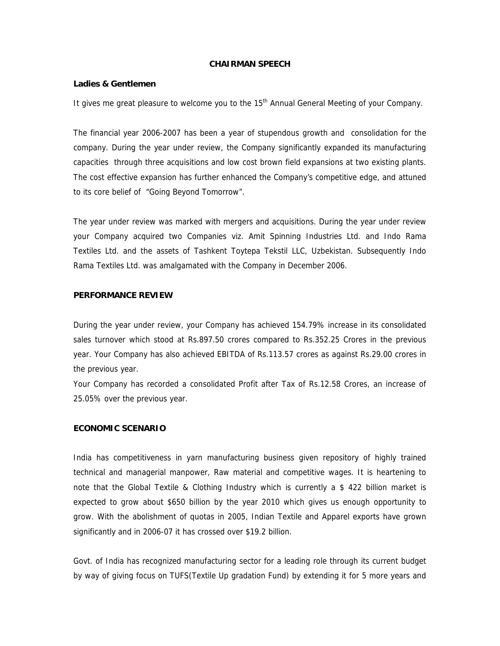### **CHAIRMAN SPEECH**

#### **Ladies & Gentlemen**

It gives me great pleasure to welcome you to the 15<sup>th</sup> Annual General Meeting of your Company.

The financial year 2006-2007 has been a year of stupendous growth and consolidation for the company. During the year under review, the Company significantly expanded its manufacturing capacities through three acquisitions and low cost brown field expansions at two existing plants. The cost effective expansion has further enhanced the Company's competitive edge, and attuned to its core belief of "Going Beyond Tomorrow".

The year under review was marked with mergers and acquisitions. During the year under review your Company acquired two Companies viz. Amit Spinning Industries Ltd. and Indo Rama Textiles Ltd. and the assets of Tashkent Toytepa Tekstil LLC, Uzbekistan. Subsequently Indo Rama Textiles Ltd. was amalgamated with the Company in December 2006.

# **PERFORMANCE REVIEW**

During the year under review, your Company has achieved 154.79% increase in its consolidated sales turnover which stood at Rs.897.50 crores compared to Rs.352.25 Crores in the previous year. Your Company has also achieved EBITDA of Rs.113.57 crores as against Rs.29.00 crores in the previous year.

Your Company has recorded a consolidated Profit after Tax of Rs.12.58 Crores, an increase of 25.05% over the previous year.

## **ECONOMIC SCENARIO**

India has competitiveness in yarn manufacturing business given repository of highly trained technical and managerial manpower, Raw material and competitive wages. It is heartening to note that the Global Textile & Clothing Industry which is currently a \$ 422 billion market is expected to grow about \$650 billion by the year 2010 which gives us enough opportunity to grow. With the abolishment of quotas in 2005, Indian Textile and Apparel exports have grown significantly and in 2006-07 it has crossed over \$19.2 billion.

Govt. of India has recognized manufacturing sector for a leading role through its current budget by way of giving focus on TUFS(Textile Up gradation Fund) by extending it for 5 more years and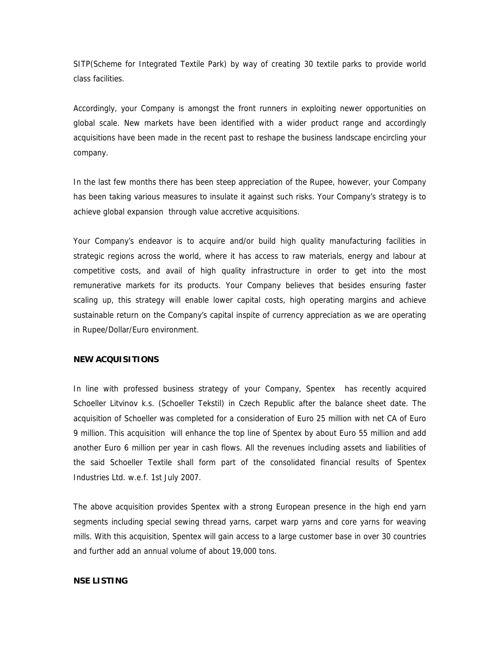SITP(Scheme for Integrated Textile Park) by way of creating 30 textile parks to provide world class facilities.

Accordingly, your Company is amongst the front runners in exploiting newer opportunities on global scale. New markets have been identified with a wider product range and accordingly acquisitions have been made in the recent past to reshape the business landscape encircling your company.

In the last few months there has been steep appreciation of the Rupee, however, your Company has been taking various measures to insulate it against such risks. Your Company's strategy is to achieve global expansion through value accretive acquisitions.

Your Company's endeavor is to acquire and/or build high quality manufacturing facilities in strategic regions across the world, where it has access to raw materials, energy and labour at competitive costs, and avail of high quality infrastructure in order to get into the most remunerative markets for its products. Your Company believes that besides ensuring faster scaling up, this strategy will enable lower capital costs, high operating margins and achieve sustainable return on the Company's capital inspite of currency appreciation as we are operating in Rupee/Dollar/Euro environment.

#### **NEW ACQUISITIONS**

In line with professed business strategy of your Company, Spentex has recently acquired Schoeller Litvinov k.s. (Schoeller Tekstil) in Czech Republic after the balance sheet date. The acquisition of Schoeller was completed for a consideration of Euro 25 million with net CA of Euro 9 million. This acquisition will enhance the top line of Spentex by about Euro 55 million and add another Euro 6 million per year in cash flows. All the revenues including assets and liabilities of the said Schoeller Textile shall form part of the consolidated financial results of Spentex Industries Ltd. w.e.f. 1st July 2007.

The above acquisition provides Spentex with a strong European presence in the high end yarn segments including special sewing thread yarns, carpet warp yarns and core yarns for weaving mills. With this acquisition, Spentex will gain access to a large customer base in over 30 countries and further add an annual volume of about 19,000 tons.

## **NSE LISTING**